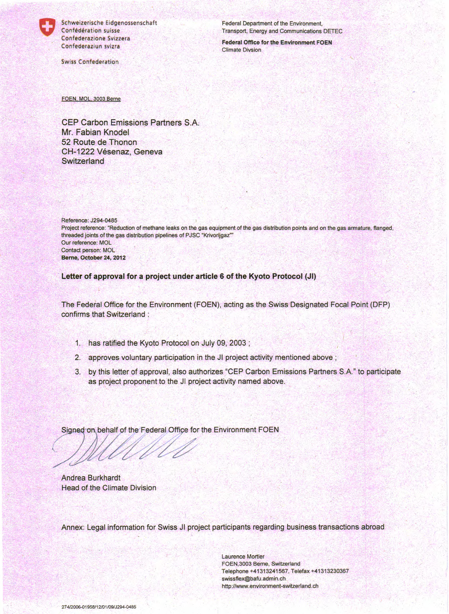

Schweizerische Eidgenossenschaft Confédération suisse Confederazione Svizzera Confederaziun svizra

**Swiss Confederation** 

Federal Department of the Environment, Transport, Energy and Communications DETEC

**Federal Office for the Environment FOEN Climate Divsion** 

FOEN, MOL, 3003 Berne

**CEP Carbon Emissions Partners S.A.** Mr. Fabian Knodel 52 Route de Thonon CH-1222 Vésenaz, Geneva Switzerland

Reference: J294-0485 Project reference: "Reduction of methane leaks on the gas equipment of the gas distribution points and on the gas armature, flanged, threaded joints of the gas distribution pipelines of PJSC "Krivorijgaz"" Our reference: MOL Contact person: MOL Berne, October 24, 2012

Letter of approval for a project under article 6 of the Kyoto Protocol (JI)

The Federal Office for the Environment (FOEN), acting as the Swiss Designated Focal Point (DFP) confirms that Switzerland :

- 1. has ratified the Kyoto Protocol on July 09, 2003;
- 2. approves voluntary participation in the JI project activity mentioned above;
- 3. by this letter of approval, also authorizes "CEP Carbon Emissions Partners S.A." to participate as project proponent to the JI project activity named above.

Signed on behalf of the Federal Office for the Environment FOEN

**Andrea Burkhardt Head of the Climate Division** 

Annex: Legal information for Swiss JI project participants regarding business transactions abroad

**Laurence Mortier** FOEN, 3003 Berne, Switzerland Telephone +41313241567, Telefax +41313230367 swissflex@bafu.admin.ch http://www.environment-switzerland.ch